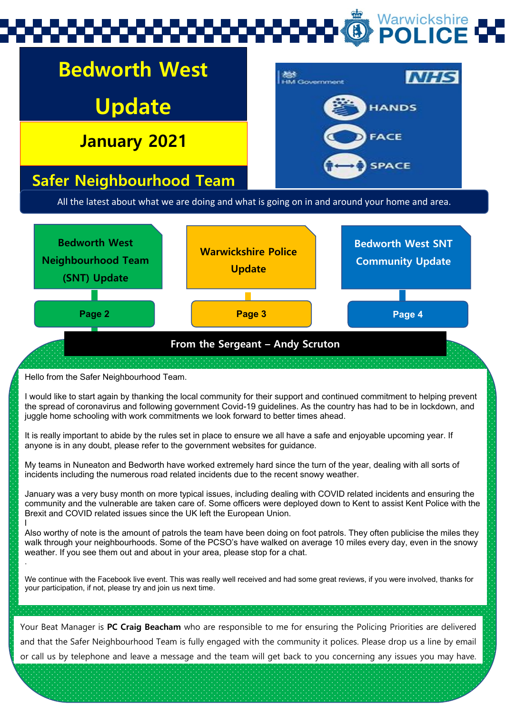# Warwickshire

# **Bedworth West**

**Update**

**All the latest from your January 2021**



## **Safer Neighbourhood Team**

All the latest about what we are doing and what is going on in and around your home and area.



Hello from the Safer Neighbourhood Team.

I would like to start again by thanking the local community for their support and continued commitment to helping prevent the spread of coronavirus and following government Covid-19 guidelines. As the country has had to be in lockdown, and juggle home schooling with work commitments we look forward to better times ahead.

It is really important to abide by the rules set in place to ensure we all have a safe and enjoyable upcoming year. If anyone is in any doubt, please refer to the government websites for guidance.

My teams in Nuneaton and Bedworth have worked extremely hard since the turn of the year, dealing with all sorts of incidents including the numerous road related incidents due to the recent snowy weather.

January was a very busy month on more typical issues, including dealing with COVID related incidents and ensuring the community and the vulnerable are taken care of. Some officers were deployed down to Kent to assist Kent Police with the Brexit and COVID related issues since the UK left the European Union.

l Also worthy of note is the amount of patrols the team have been doing on foot patrols. They often publicise the miles they walk through your neighbourhoods. Some of the PCSO's have walked on average 10 miles every day, even in the snowy weather. If you see them out and about in your area, please stop for a chat. .

We continue with the Facebook live event. This was really well received and had some great reviews, if you were involved, thanks for your participation, if not, please try and join us next time.

Your Beat Manager is **PC Craig Beacham** who are responsible to me for ensuring the Policing Priorities are delivered and that the Safer Neighbourhood Team is fully engaged with the community it polices. Please drop us a line by email or call us by telephone and leave a message and the team will get back to you concerning any issues you may have.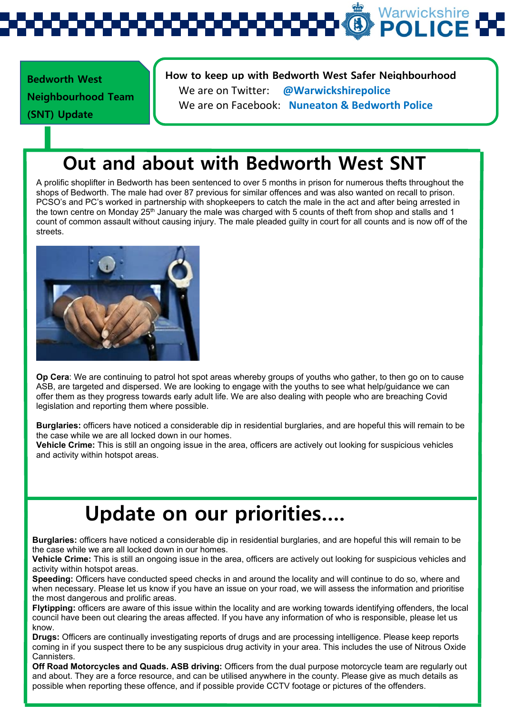Warwickshire

**Bedworth West Neighbourhood Team (SNT) Update** 

#### **How to keep up with Bedworth West Safer Neighbourhood**

We are on Twitter: **@Warwickshirepolice** We are on Facebook: **Nuneaton & Bedworth Police**

## **Out and about with Bedworth West SNT**

A prolific shoplifter in Bedworth has been sentenced to over 5 months in prison for numerous thefts throughout the shops of Bedworth. The male had over 87 previous for similar offences and was also wanted on recall to prison. PCSO's and PC's worked in partnership with shopkeepers to catch the male in the act and after being arrested in the town centre on Monday 25<sup>th</sup> January the male was charged with 5 counts of theft from shop and stalls and 1 count of common assault without causing injury. The male pleaded guilty in court for all counts and is now off of the streets.



Ī

**Op Cera**: We are continuing to patrol hot spot areas whereby groups of youths who gather, to then go on to cause ASB, are targeted and dispersed. We are looking to engage with the youths to see what help/guidance we can offer them as they progress towards early adult life. We are also dealing with people who are breaching Covid legislation and reporting them where possible.

**Burglaries:** officers have noticed a considerable dip in residential burglaries, and are hopeful this will remain to be the case while we are all locked down in our homes.

**Vehicle Crime:** This is still an ongoing issue in the area, officers are actively out looking for suspicious vehicles and activity within hotspot areas.

## **Update on our priorities….**

**Burglaries:** officers have noticed a considerable dip in residential burglaries, and are hopeful this will remain to be the case while we are all locked down in our homes.

**Vehicle Crime:** This is still an ongoing issue in the area, officers are actively out looking for suspicious vehicles and activity within hotspot areas.

**Speeding:** Officers have conducted speed checks in and around the locality and will continue to do so, where and when necessary. Please let us know if you have an issue on your road, we will assess the information and prioritise the most dangerous and prolific areas.

**Flytipping:** officers are aware of this issue within the locality and are working towards identifying offenders, the local council have been out clearing the areas affected. If you have any information of who is responsible, please let us know.

**Drugs:** Officers are continually investigating reports of drugs and are processing intelligence. Please keep reports coming in if you suspect there to be any suspicious drug activity in your area. This includes the use of Nitrous Oxide Cannisters.

**Off Road Motorcycles and Quads. ASB driving:** Officers from the dual purpose motorcycle team are regularly out and about. They are a force resource, and can be utilised anywhere in the county. Please give as much details as possible when reporting these offence, and if possible provide CCTV footage or pictures of the offenders.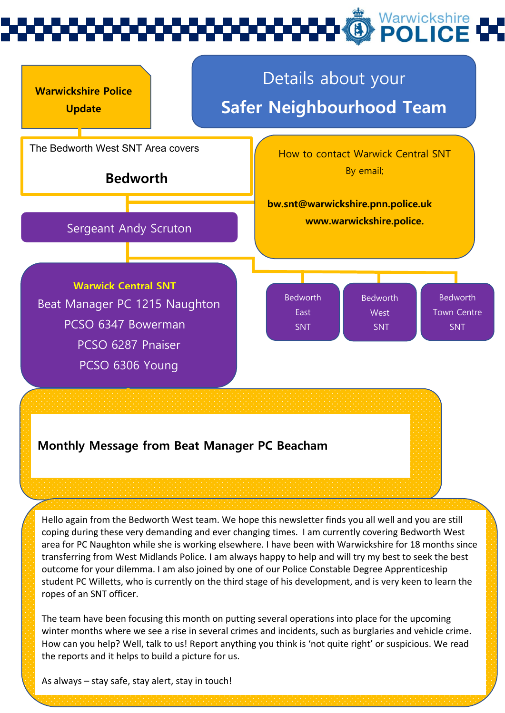

Hello again from the Bedworth West team. We hope this newsletter finds you all well and you are still coping during these very demanding and ever changing times. I am currently covering Bedworth West area for PC Naughton while she is working elsewhere. I have been with Warwickshire for 18 months since transferring from West Midlands Police. I am always happy to help and will try my best to seek the best outcome for your dilemma. I am also joined by one of our Police Constable Degree Apprenticeship student PC Willetts, who is currently on the third stage of his development, and is very keen to learn the ropes of an SNT officer.

The team have been focusing this month on putting several operations into place for the upcoming winter months where we see a rise in several crimes and incidents, such as burglaries and vehicle crime. How can you help? Well, talk to us! Report anything you think is 'not quite right' or suspicious. We read the reports and it helps to build a picture for us.

As always – stay safe, stay alert, stay in touch!